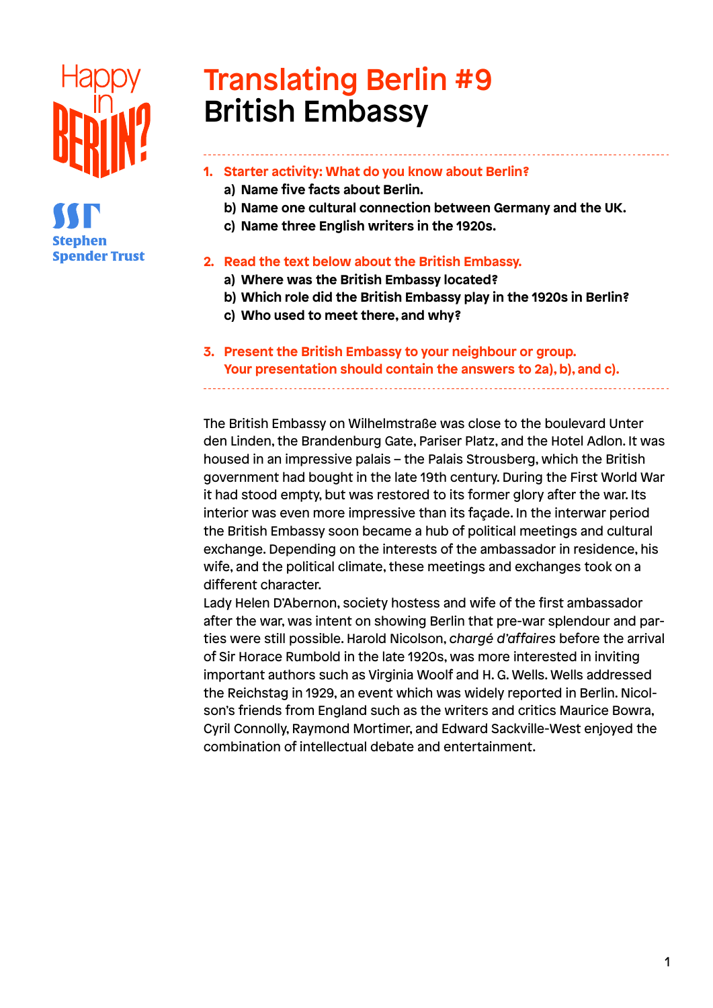

# Translating Berlin #9 British Embassy

### **1. Starter activity: What do you know about Berlin?**

- **a) Name five facts about Berlin.**
- **b) Name one cultural connection between Germany and the UK.**
- **c) Name three English writers in the 1920s.**

#### **2. Read the text below about the British Embassy.**

- **a) Where was the British Embassy located?**
- **b) Which role did the British Embassy play in the 1920s in Berlin?**
- **c) Who used to meet there, and why?**
- **3. Present the British Embassy to your neighbour or group. Your presentation should contain the answers to 2a), b), and c).**

The British Embassy on Wilhelmstraße was close to the boulevard Unter den Linden, the Brandenburg Gate, Pariser Platz, and the Hotel Adlon. It was housed in an impressive palais – the Palais Strousberg, which the British government had bought in the late 19th century. During the First World War it had stood empty, but was restored to its former glory after the war. Its interior was even more impressive than its façade. In the interwar period the British Embassy soon became a hub of political meetings and cultural exchange. Depending on the interests of the ambassador in residence, his wife, and the political climate, these meetings and exchanges took on a different character.

Lady Helen D'Abernon, society hostess and wife of the first ambassador after the war, was intent on showing Berlin that pre-war splendour and parties were still possible. Harold Nicolson, *chargé d'affaires* before the arrival of Sir Horace Rumbold in the late 1920s, was more interested in inviting important authors such as Virginia Woolf and H. G. Wells. Wells addressed the Reichstag in 1929, an event which was widely reported in Berlin. Nicolson's friends from England such as the writers and critics Maurice Bowra, Cyril Connolly, Raymond Mortimer, and Edward Sackville-West enjoyed the combination of intellectual debate and entertainment.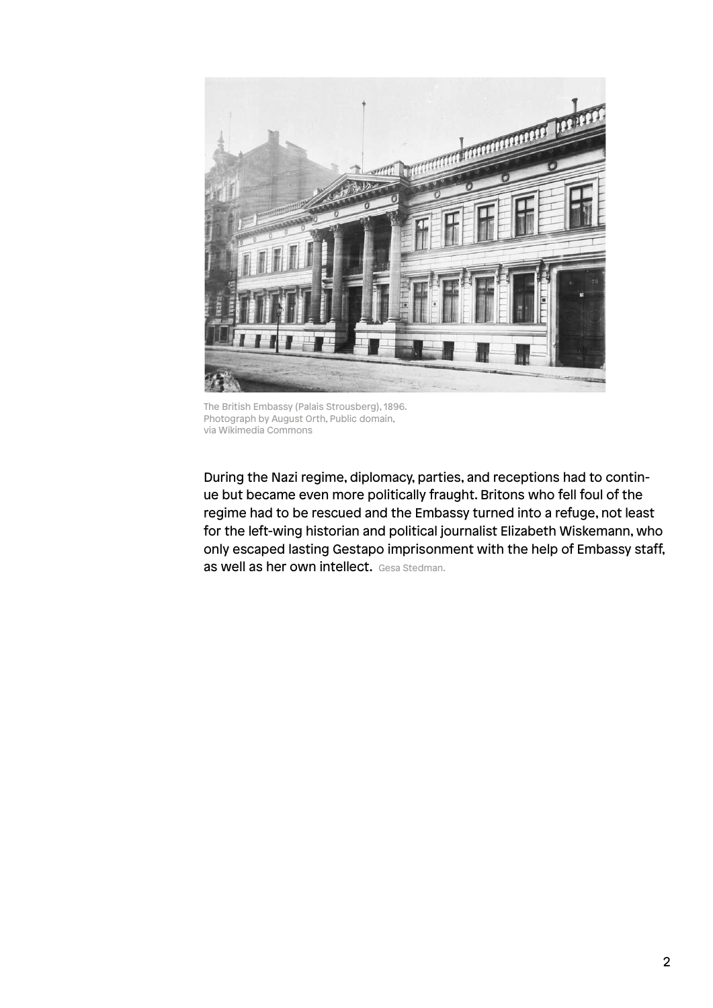

The British Embassy (Palais Strousberg), 1896. Photograph by August Orth, Public domain, via Wikimedia Commons

During the Nazi regime, diplomacy, parties, and receptions had to continue but became even more politically fraught. Britons who fell foul of the regime had to be rescued and the Embassy turned into a refuge, not least for the left-wing historian and political journalist Elizabeth Wiskemann, who only escaped lasting Gestapo imprisonment with the help of Embassy staff, as well as her own intellect. Gesa Stedman.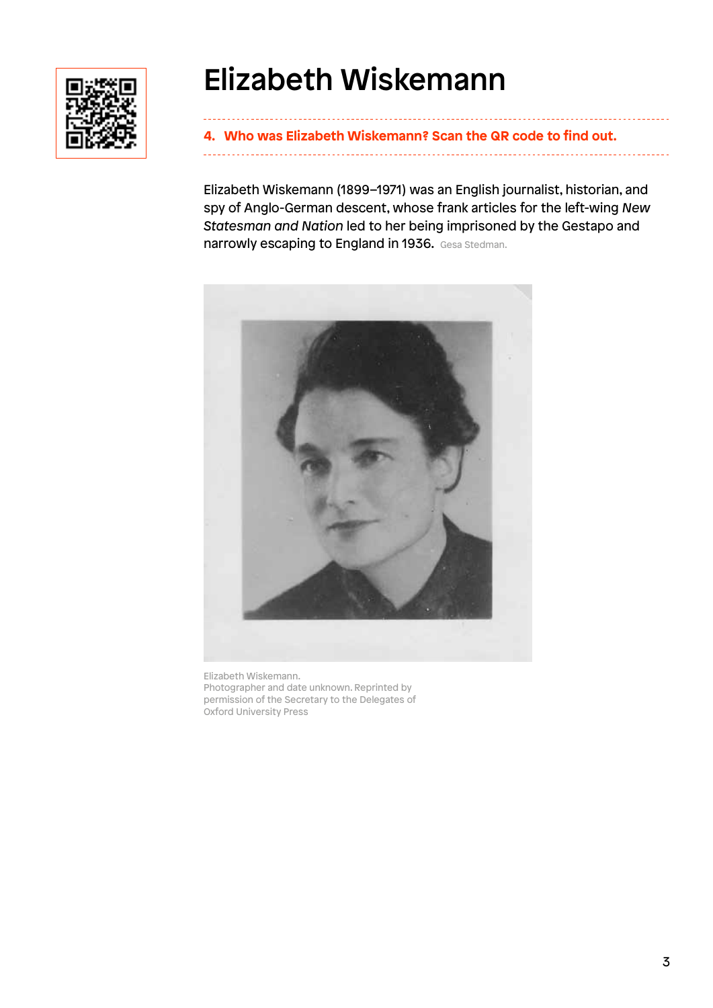

# Elizabeth Wiskemann

**4. Who was Elizabeth Wiskemann? Scan the QR code to find out.** 

Elizabeth Wiskemann (1899–1971) was an English journalist, historian, and spy of Anglo-German descent, whose frank articles for the left-wing *New Statesman and Nation* led to her being imprisoned by the Gestapo and narrowly escaping to England in 1936. Gesa Stedman.



Elizabeth Wiskemann. Photographer and date unknown. Reprinted by permission of the Secretary to the Delegates of Oxford University Press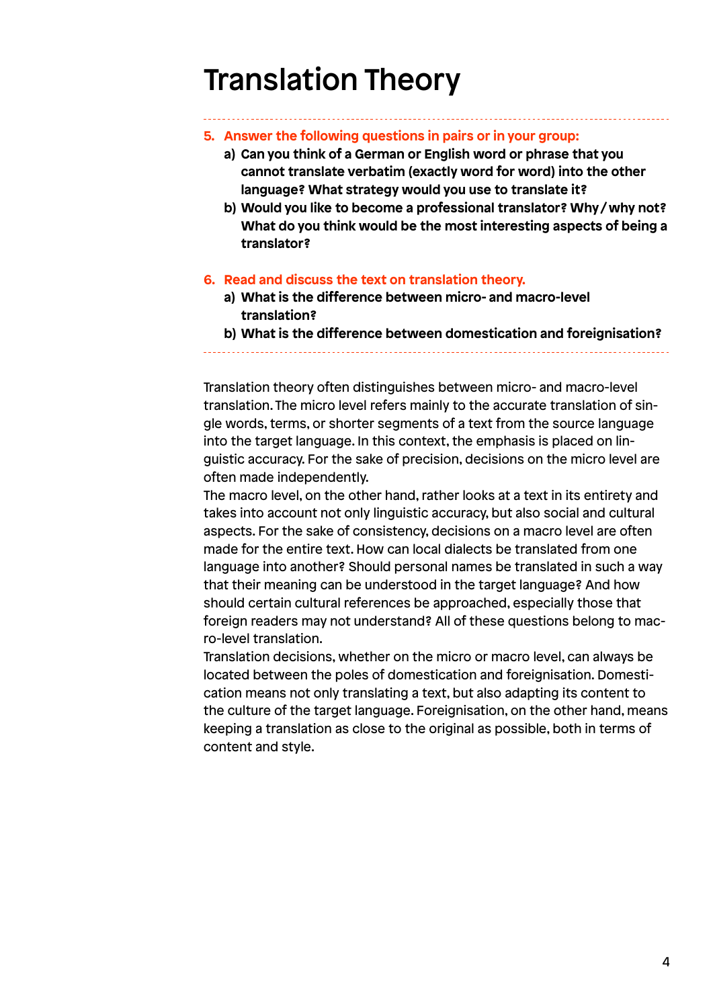# Translation Theory

- **5. Answer the following questions in pairs or in your group:**
	- **a) Can you think of a German or English word or phrase that you cannot translate verbatim (exactly word for word) into the other language? What strategy would you use to translate it?**
	- **b) Would you like to become a professional translator? Why / why not? What do you think would be the most interesting aspects of being a translator?**

#### **6. Read and discuss the text on translation theory.**

- **a) What is the difference between micro- and macro-level translation?**
- **b) What is the difference between domestication and foreignisation?**

Translation theory often distinguishes between micro- and macro-level translation. The micro level refers mainly to the accurate translation of single words, terms, or shorter segments of a text from the source language into the target language. In this context, the emphasis is placed on linguistic accuracy. For the sake of precision, decisions on the micro level are often made independently.

The macro level, on the other hand, rather looks at a text in its entirety and takes into account not only linguistic accuracy, but also social and cultural aspects. For the sake of consistency, decisions on a macro level are often made for the entire text. How can local dialects be translated from one language into another? Should personal names be translated in such a way that their meaning can be understood in the target language? And how should certain cultural references be approached, especially those that foreign readers may not understand? All of these questions belong to macro-level translation.

Translation decisions, whether on the micro or macro level, can always be located between the poles of domestication and foreignisation. Domestication means not only translating a text, but also adapting its content to the culture of the target language. Foreignisation, on the other hand, means keeping a translation as close to the original as possible, both in terms of content and style.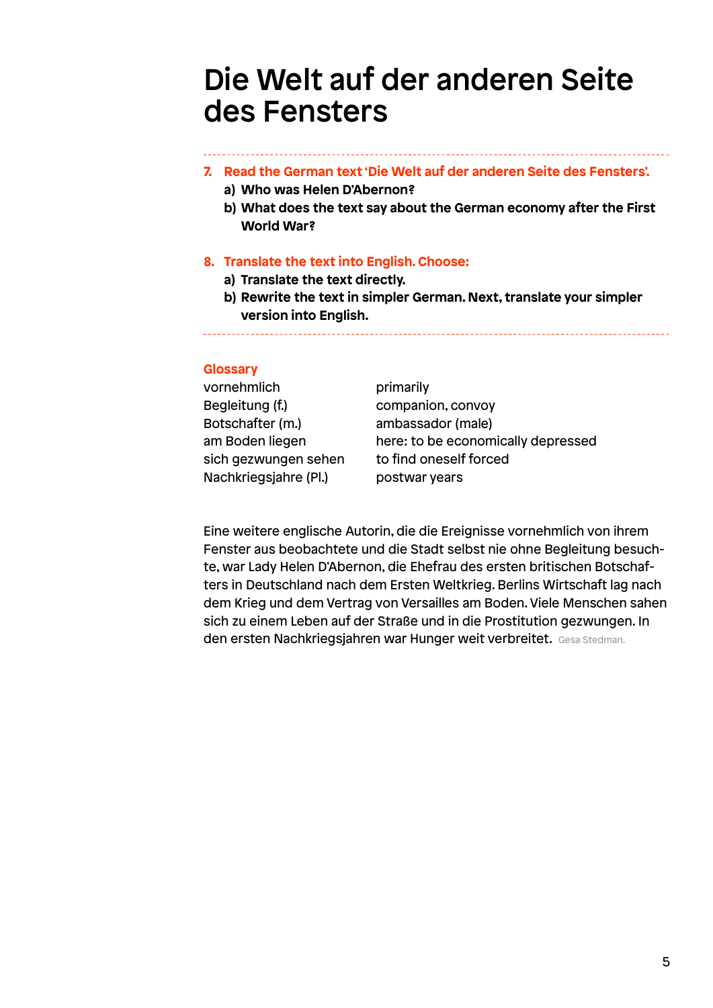## Die Welt auf der anderen Seite des Fensters

#### **7. Read the German text 'Die Welt auf der anderen Seite des Fensters'.**

- **a) Who was Helen D'Abernon?**
- **b) What does the text say about the German economy after the First World War?**

#### **8. Translate the text into English. Choose:**

- **a) Translate the text directly.**
- **b) Rewrite the text in simpler German. Next, translate your simpler version into English.**

#### **Glossary**

| vornehmlich           | primarily                          |
|-----------------------|------------------------------------|
| Begleitung (f.)       | companion, convoy                  |
| Botschafter (m.)      | ambassador (male)                  |
| am Boden liegen       | here: to be economically depressed |
| sich gezwungen sehen  | to find oneself forced             |
| Nachkriegsjahre (Pl.) | postwar years                      |

Eine weitere englische Autorin, die die Ereignisse vornehmlich von ihrem Fenster aus beobachtete und die Stadt selbst nie ohne Begleitung besuchte, war Lady Helen D'Abernon, die Ehefrau des ersten britischen Botschafters in Deutschland nach dem Ersten Weltkrieg. Berlins Wirtschaft lag nach dem Krieg und dem Vertrag von Versailles am Boden. Viele Menschen sahen sich zu einem Leben auf der Straße und in die Prostitution gezwungen. In den ersten Nachkriegsjahren war Hunger weit verbreitet. Gesa Stedman.